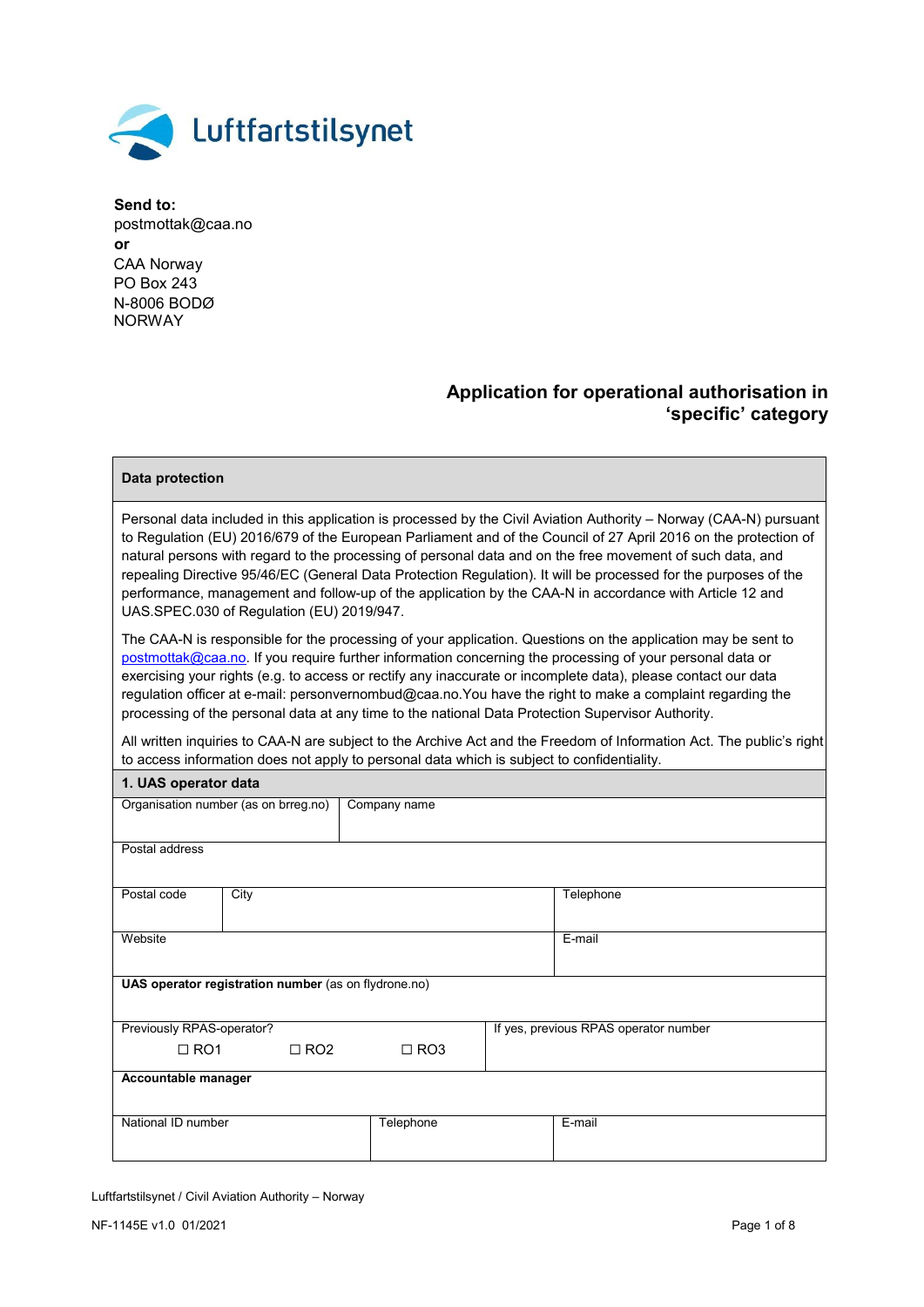

## **Application for operational authorisation in 'specific' category**

## **Data protection**

Personal data included in this application is processed by the Civil Aviation Authority – Norway (CAA-N) pursuant to Regulation (EU) 2016/679 of the European Parliament and of the Council of 27 April 2016 on the protection of natural persons with regard to the processing of personal data and on the free movement of such data, and repealing Directive 95/46/EC (General Data Protection Regulation). It will be processed for the purposes of the performance, management and follow-up of the application by the CAA-N in accordance with Article 12 and UAS.SPEC.030 of Regulation (EU) 2019/947.

The CAA-N is responsible for the processing of your application. Questions on the application may be sent to [postmottak@caa.no.](mailto:postmottak@caa.no) If you require further information concerning the processing of your personal data or exercising your rights (e.g. to access or rectify any inaccurate or incomplete data), please contact our data regulation officer at e-mail: personvernombud@caa.no.You have the right to make a complaint regarding the processing of the personal data at any time to the national Data Protection Supervisor Authority.

All written inquiries to CAA-N are subject to the Archive Act and the Freedom of Information Act. The public's right to access information does not apply to personal data which is subject to confidentiality.

| 1. UAS operator data      |                                                      |              |  |                                       |  |  |  |  |
|---------------------------|------------------------------------------------------|--------------|--|---------------------------------------|--|--|--|--|
|                           | Organisation number (as on brreg.no)                 | Company name |  |                                       |  |  |  |  |
|                           |                                                      |              |  |                                       |  |  |  |  |
| Postal address            |                                                      |              |  |                                       |  |  |  |  |
|                           |                                                      |              |  |                                       |  |  |  |  |
| Postal code               | City                                                 |              |  | Telephone                             |  |  |  |  |
|                           |                                                      |              |  |                                       |  |  |  |  |
| Website                   |                                                      |              |  | E-mail                                |  |  |  |  |
|                           |                                                      |              |  |                                       |  |  |  |  |
|                           | UAS operator registration number (as on flydrone.no) |              |  |                                       |  |  |  |  |
|                           |                                                      |              |  |                                       |  |  |  |  |
| Previously RPAS-operator? |                                                      |              |  | If yes, previous RPAS operator number |  |  |  |  |
| $\Box$ RO1                | $\Box$ RO2                                           | $\Box$ RO3   |  |                                       |  |  |  |  |
|                           | Accountable manager                                  |              |  |                                       |  |  |  |  |
|                           |                                                      |              |  |                                       |  |  |  |  |
| National ID number        |                                                      | Telephone    |  | E-mail                                |  |  |  |  |
|                           |                                                      |              |  |                                       |  |  |  |  |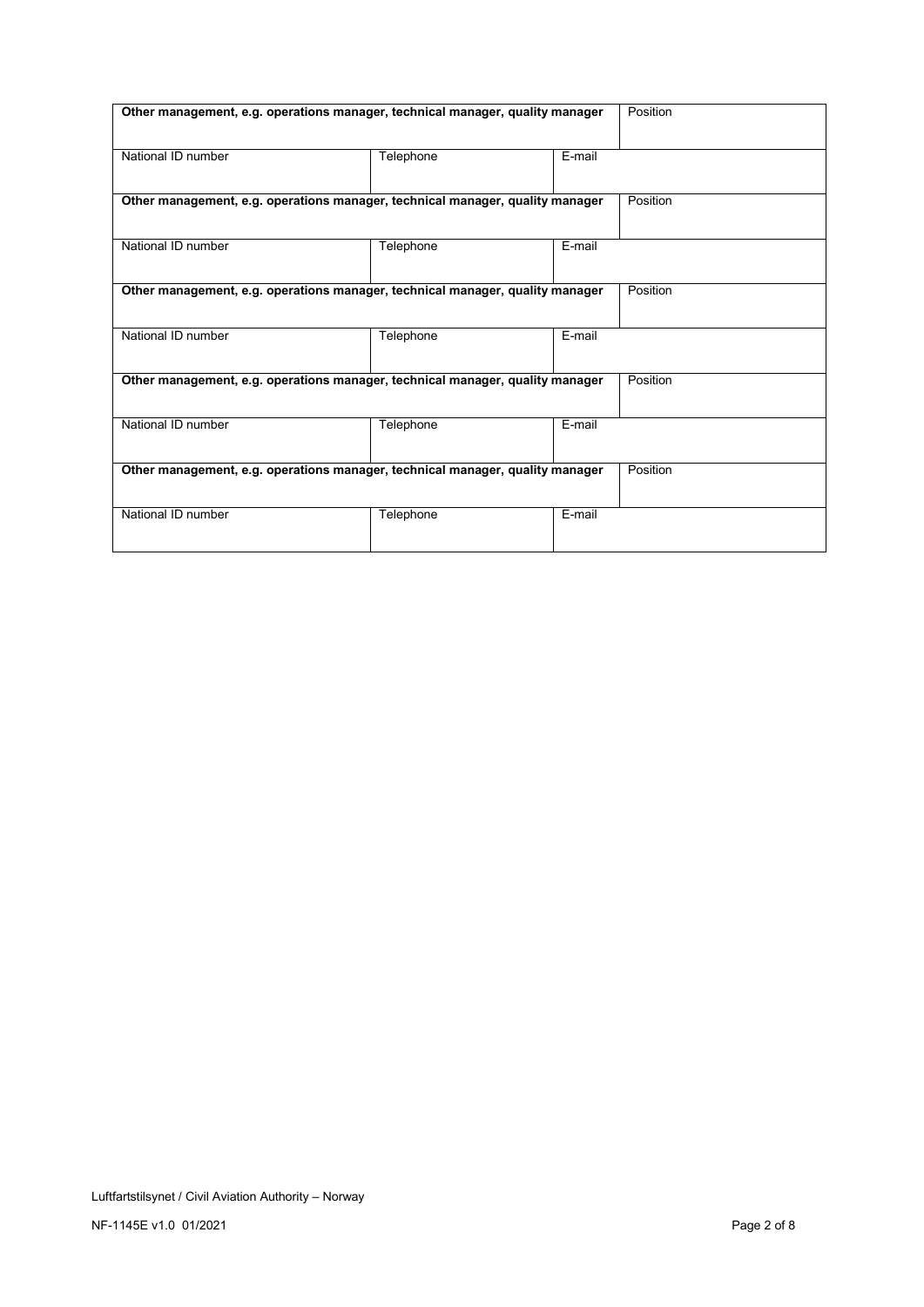| Other management, e.g. operations manager, technical manager, quality manager | Position  |        |          |
|-------------------------------------------------------------------------------|-----------|--------|----------|
| National ID number                                                            |           |        |          |
| Other management, e.g. operations manager, technical manager, quality manager |           |        | Position |
| National ID number                                                            | Telephone | E-mail |          |
| Other management, e.g. operations manager, technical manager, quality manager |           |        | Position |
| National ID number                                                            | Telephone | E-mail |          |
| Other management, e.g. operations manager, technical manager, quality manager |           |        | Position |
| National ID number                                                            | Telephone | E-mail |          |
| Other management, e.g. operations manager, technical manager, quality manager | Position  |        |          |
| National ID number                                                            | Telephone | E-mail |          |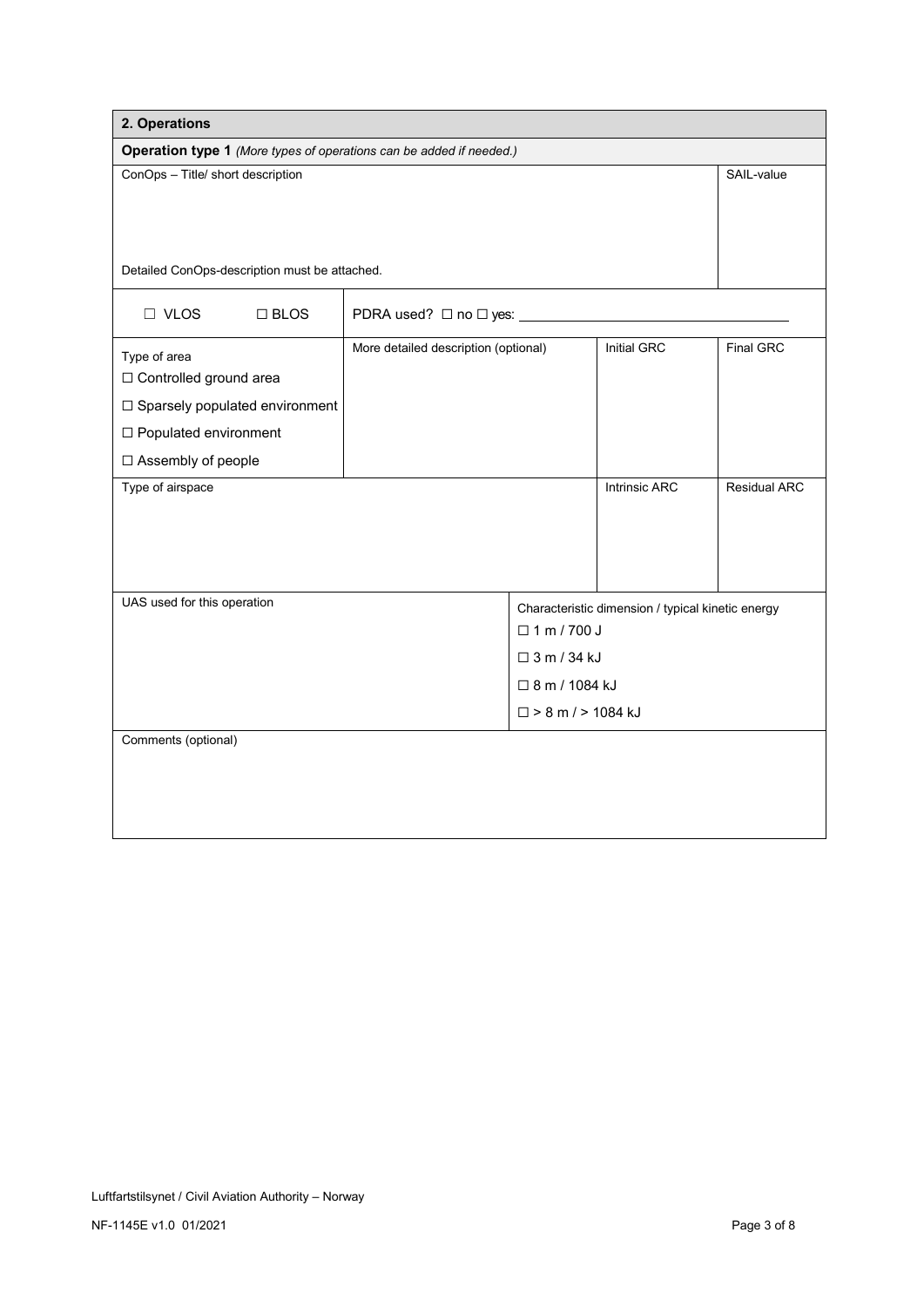| 2. Operations                                                       |                                      |                          |                                                   |              |  |  |  |
|---------------------------------------------------------------------|--------------------------------------|--------------------------|---------------------------------------------------|--------------|--|--|--|
| Operation type 1 (More types of operations can be added if needed.) |                                      |                          |                                                   |              |  |  |  |
| ConOps - Title/ short description                                   | SAIL-value                           |                          |                                                   |              |  |  |  |
|                                                                     |                                      |                          |                                                   |              |  |  |  |
|                                                                     |                                      |                          |                                                   |              |  |  |  |
| Detailed ConOps-description must be attached.                       |                                      |                          |                                                   |              |  |  |  |
|                                                                     |                                      |                          |                                                   |              |  |  |  |
| $\Box$ VLOS<br>$\Box$ BLOS                                          | PDRA used? □ no □ yes:               |                          |                                                   |              |  |  |  |
| Type of area                                                        | More detailed description (optional) |                          | Initial GRC                                       | Final GRC    |  |  |  |
| □ Controlled ground area                                            |                                      |                          |                                                   |              |  |  |  |
| □ Sparsely populated environment                                    |                                      |                          |                                                   |              |  |  |  |
| □ Populated environment                                             |                                      |                          |                                                   |              |  |  |  |
| □ Assembly of people                                                |                                      |                          |                                                   |              |  |  |  |
| Type of airspace                                                    |                                      |                          | <b>Intrinsic ARC</b>                              | Residual ARC |  |  |  |
|                                                                     |                                      |                          |                                                   |              |  |  |  |
|                                                                     |                                      |                          |                                                   |              |  |  |  |
|                                                                     |                                      |                          |                                                   |              |  |  |  |
| UAS used for this operation                                         |                                      |                          | Characteristic dimension / typical kinetic energy |              |  |  |  |
|                                                                     |                                      | $\Box$ 1 m / 700 J       |                                                   |              |  |  |  |
|                                                                     |                                      | $\Box$ 3 m / 34 kJ       |                                                   |              |  |  |  |
|                                                                     |                                      | □ 8 m / 1084 kJ          |                                                   |              |  |  |  |
|                                                                     |                                      | $\Box$ > 8 m / > 1084 kJ |                                                   |              |  |  |  |
| Comments (optional)                                                 |                                      |                          |                                                   |              |  |  |  |
|                                                                     |                                      |                          |                                                   |              |  |  |  |
|                                                                     |                                      |                          |                                                   |              |  |  |  |
|                                                                     |                                      |                          |                                                   |              |  |  |  |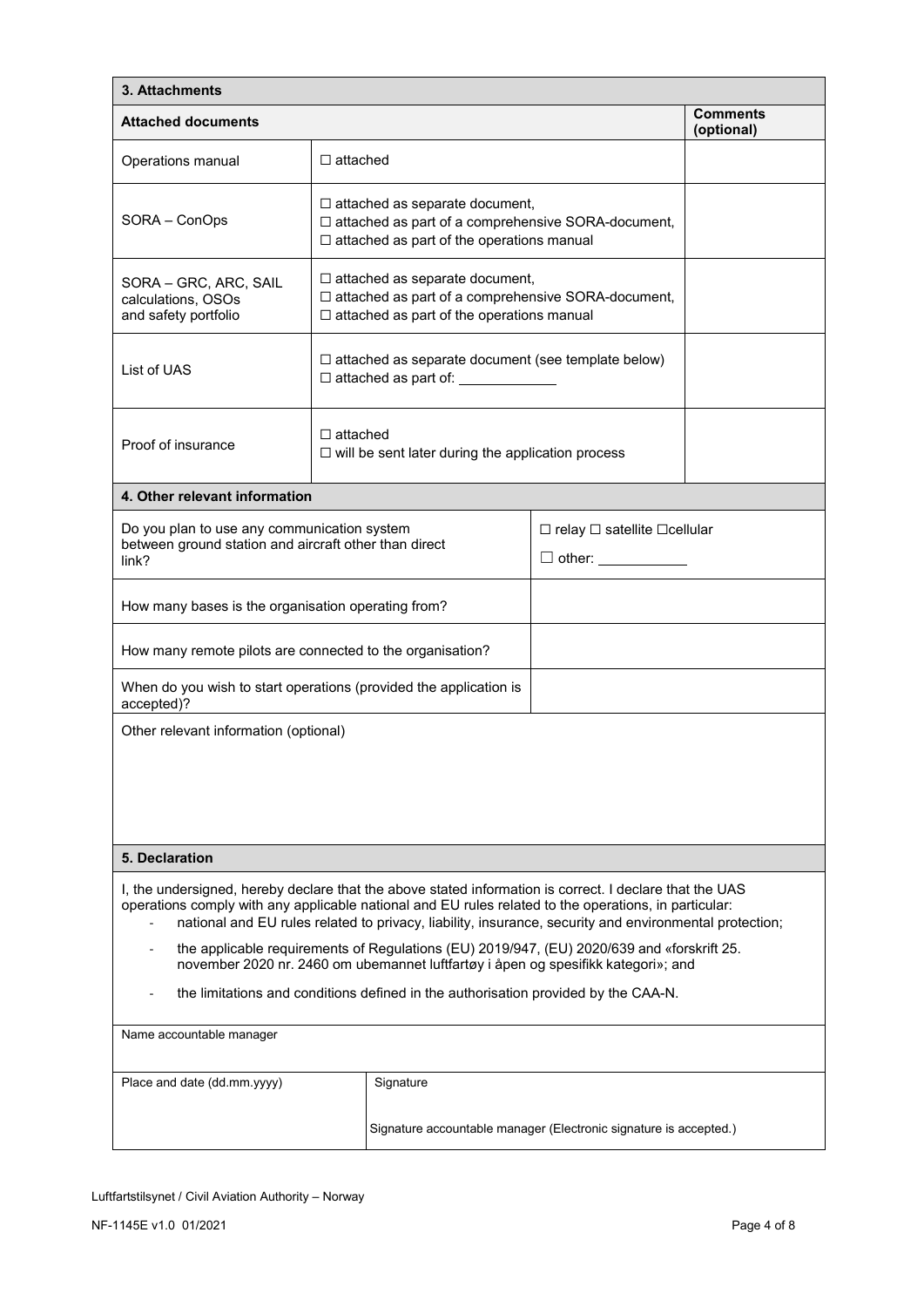| 3. Attachments                                                                                                                                                                                                                                                                                                                                                                                                                                                                                                                                                                                      |                                                                                                                                                   |                                                                                                                                                   |                               |  |  |  |  |
|-----------------------------------------------------------------------------------------------------------------------------------------------------------------------------------------------------------------------------------------------------------------------------------------------------------------------------------------------------------------------------------------------------------------------------------------------------------------------------------------------------------------------------------------------------------------------------------------------------|---------------------------------------------------------------------------------------------------------------------------------------------------|---------------------------------------------------------------------------------------------------------------------------------------------------|-------------------------------|--|--|--|--|
| <b>Attached documents</b>                                                                                                                                                                                                                                                                                                                                                                                                                                                                                                                                                                           |                                                                                                                                                   |                                                                                                                                                   | <b>Comments</b><br>(optional) |  |  |  |  |
| Operations manual                                                                                                                                                                                                                                                                                                                                                                                                                                                                                                                                                                                   | $\Box$ attached                                                                                                                                   |                                                                                                                                                   |                               |  |  |  |  |
| SORA - ConOps                                                                                                                                                                                                                                                                                                                                                                                                                                                                                                                                                                                       |                                                                                                                                                   | $\Box$ attached as separate document,<br>□ attached as part of a comprehensive SORA-document,<br>$\Box$ attached as part of the operations manual |                               |  |  |  |  |
| SORA - GRC, ARC, SAIL<br>calculations. OSOs<br>and safety portfolio                                                                                                                                                                                                                                                                                                                                                                                                                                                                                                                                 | $\Box$ attached as separate document,<br>□ attached as part of a comprehensive SORA-document,<br>$\Box$ attached as part of the operations manual |                                                                                                                                                   |                               |  |  |  |  |
| List of UAS                                                                                                                                                                                                                                                                                                                                                                                                                                                                                                                                                                                         |                                                                                                                                                   | $\Box$ attached as separate document (see template below)<br>□ attached as part of: ____________                                                  |                               |  |  |  |  |
| Proof of insurance                                                                                                                                                                                                                                                                                                                                                                                                                                                                                                                                                                                  | $\Box$ attached<br>$\Box$ will be sent later during the application process                                                                       |                                                                                                                                                   |                               |  |  |  |  |
| 4. Other relevant information                                                                                                                                                                                                                                                                                                                                                                                                                                                                                                                                                                       |                                                                                                                                                   |                                                                                                                                                   |                               |  |  |  |  |
| Do you plan to use any communication system<br>between ground station and aircraft other than direct<br>link?                                                                                                                                                                                                                                                                                                                                                                                                                                                                                       | $\Box$ relay $\Box$ satellite $\Box$ cellular<br>$\Box$ other: $\_\_$                                                                             |                                                                                                                                                   |                               |  |  |  |  |
| How many bases is the organisation operating from?                                                                                                                                                                                                                                                                                                                                                                                                                                                                                                                                                  |                                                                                                                                                   |                                                                                                                                                   |                               |  |  |  |  |
| How many remote pilots are connected to the organisation?                                                                                                                                                                                                                                                                                                                                                                                                                                                                                                                                           |                                                                                                                                                   |                                                                                                                                                   |                               |  |  |  |  |
| accepted)?                                                                                                                                                                                                                                                                                                                                                                                                                                                                                                                                                                                          | When do you wish to start operations (provided the application is                                                                                 |                                                                                                                                                   |                               |  |  |  |  |
| Other relevant information (optional)                                                                                                                                                                                                                                                                                                                                                                                                                                                                                                                                                               |                                                                                                                                                   |                                                                                                                                                   |                               |  |  |  |  |
| 5. Declaration                                                                                                                                                                                                                                                                                                                                                                                                                                                                                                                                                                                      |                                                                                                                                                   |                                                                                                                                                   |                               |  |  |  |  |
| I, the undersigned, hereby declare that the above stated information is correct. I declare that the UAS<br>operations comply with any applicable national and EU rules related to the operations, in particular:<br>national and EU rules related to privacy, liability, insurance, security and environmental protection;<br>the applicable requirements of Regulations (EU) 2019/947, (EU) 2020/639 and «forskrift 25.<br>november 2020 nr. 2460 om ubemannet luftfartøy i åpen og spesifikk kategori»; and<br>the limitations and conditions defined in the authorisation provided by the CAA-N. |                                                                                                                                                   |                                                                                                                                                   |                               |  |  |  |  |
| Name accountable manager                                                                                                                                                                                                                                                                                                                                                                                                                                                                                                                                                                            |                                                                                                                                                   |                                                                                                                                                   |                               |  |  |  |  |
| Place and date (dd.mm.yyyy)                                                                                                                                                                                                                                                                                                                                                                                                                                                                                                                                                                         | Signature                                                                                                                                         |                                                                                                                                                   |                               |  |  |  |  |
| Signature accountable manager (Electronic signature is accepted.)                                                                                                                                                                                                                                                                                                                                                                                                                                                                                                                                   |                                                                                                                                                   |                                                                                                                                                   |                               |  |  |  |  |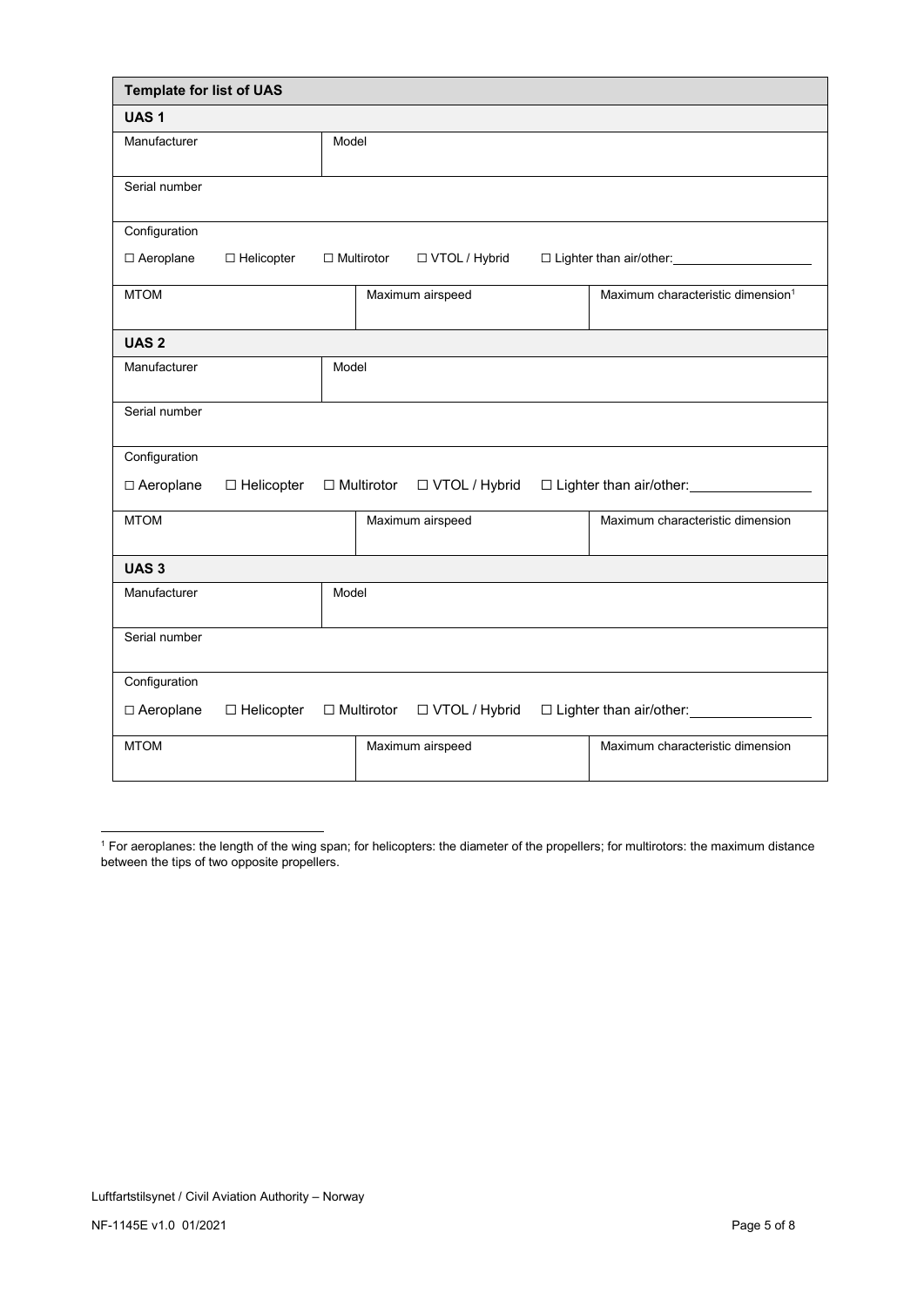| <b>Template for list of UAS</b> |                   |       |                   |                  |                                                |
|---------------------------------|-------------------|-------|-------------------|------------------|------------------------------------------------|
| UAS <sub>1</sub>                |                   |       |                   |                  |                                                |
| Manufacturer                    |                   | Model |                   |                  |                                                |
| Serial number                   |                   |       |                   |                  |                                                |
| Configuration                   |                   |       |                   |                  |                                                |
| □ Aeroplane                     | □ Helicopter      |       | $\Box$ Multirotor | □ VTOL / Hybrid  | □ Lighter than air/other: ____________________ |
| <b>MTOM</b>                     |                   |       |                   | Maximum airspeed | Maximum characteristic dimension <sup>1</sup>  |
| UAS <sub>2</sub>                |                   |       |                   |                  |                                                |
| Manufacturer                    |                   | Model |                   |                  |                                                |
| Serial number                   |                   |       |                   |                  |                                                |
| Configuration                   |                   |       |                   |                  |                                                |
| □ Aeroplane                     | $\Box$ Helicopter |       | $\Box$ Multirotor | □ VTOL / Hybrid  |                                                |
| <b>MTOM</b>                     |                   |       |                   | Maximum airspeed | Maximum characteristic dimension               |
| UAS <sub>3</sub>                |                   |       |                   |                  |                                                |
| Manufacturer                    |                   | Model |                   |                  |                                                |
| Serial number                   |                   |       |                   |                  |                                                |
| Configuration                   |                   |       |                   |                  |                                                |
| □ Aeroplane                     | $\Box$ Helicopter |       | $\Box$ Multirotor | □ VTOL / Hybrid  |                                                |
| <b>MTOM</b>                     |                   |       |                   | Maximum airspeed | Maximum characteristic dimension               |

<sup>1</sup> For aeroplanes: the length of the wing span; for helicopters: the diameter of the propellers; for multirotors: the maximum distance between the tips of two opposite propellers.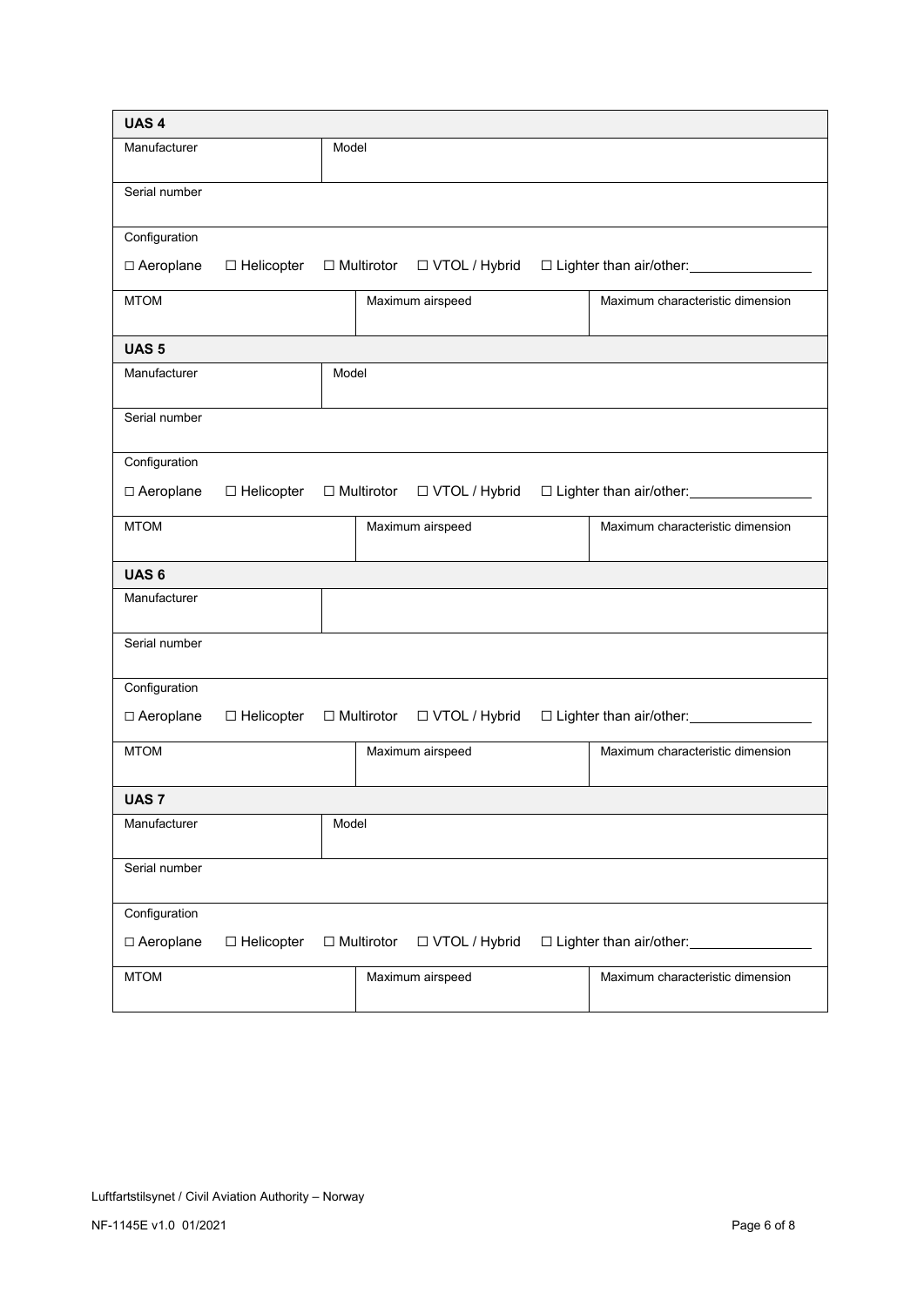| UAS <sub>4</sub> |                   |       |                   |                  |                                         |
|------------------|-------------------|-------|-------------------|------------------|-----------------------------------------|
| Manufacturer     |                   | Model |                   |                  |                                         |
| Serial number    |                   |       |                   |                  |                                         |
| Configuration    |                   |       |                   |                  |                                         |
| □ Aeroplane      | $\Box$ Helicopter |       | $\Box$ Multirotor | □ VTOL / Hybrid  | □ Lighter than air/other: <u>[11]</u>   |
| <b>MTOM</b>      |                   |       |                   | Maximum airspeed | Maximum characteristic dimension        |
| UAS <sub>5</sub> |                   |       |                   |                  |                                         |
| Manufacturer     |                   | Model |                   |                  |                                         |
| Serial number    |                   |       |                   |                  |                                         |
| Configuration    |                   |       |                   |                  |                                         |
| □ Aeroplane      | □ Helicopter      |       | $\Box$ Multirotor | □ VTOL / Hybrid  | □ Lighter than air/other: <u>[1990]</u> |
| <b>MTOM</b>      |                   |       |                   | Maximum airspeed | Maximum characteristic dimension        |
| UAS <sub>6</sub> |                   |       |                   |                  |                                         |
| Manufacturer     |                   |       |                   |                  |                                         |
| Serial number    |                   |       |                   |                  |                                         |
| Configuration    |                   |       |                   |                  |                                         |
| □ Aeroplane      | $\Box$ Helicopter |       | $\Box$ Multirotor | □ VTOL / Hybrid  |                                         |
| <b>MTOM</b>      |                   |       |                   | Maximum airspeed | Maximum characteristic dimension        |
| <b>UAS 7</b>     |                   |       |                   |                  |                                         |
| Manufacturer     |                   | Model |                   |                  |                                         |
| Serial number    |                   |       |                   |                  |                                         |
| Configuration    |                   |       |                   |                  |                                         |
| □ Aeroplane      | $\Box$ Helicopter |       | $\Box$ Multirotor | □ VTOL / Hybrid  | □ Lighter than air/other:               |
| <b>MTOM</b>      |                   |       |                   | Maximum airspeed | Maximum characteristic dimension        |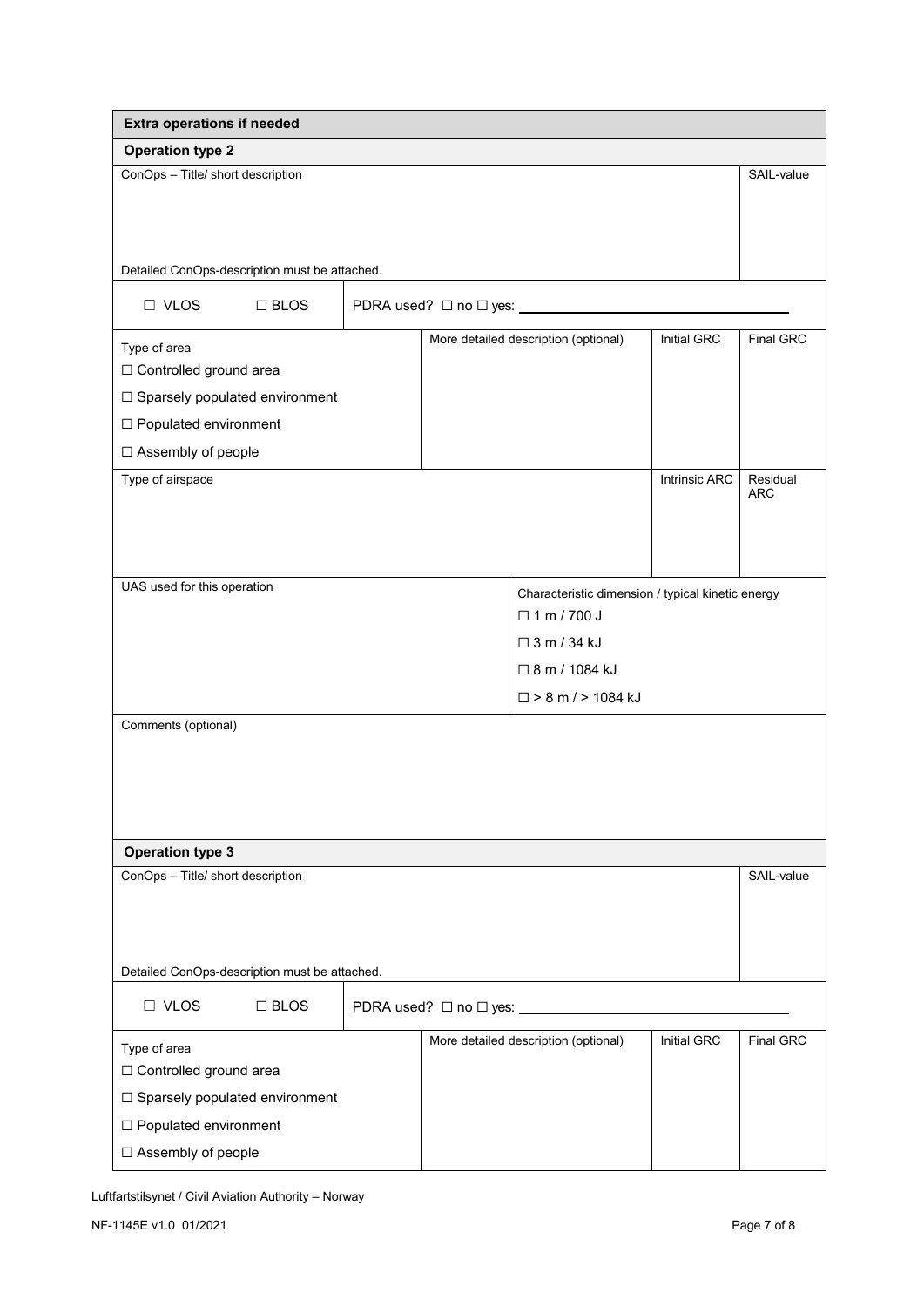| <b>Extra operations if needed</b>             |                                                  |  |                        |                                                   |                      |                        |
|-----------------------------------------------|--------------------------------------------------|--|------------------------|---------------------------------------------------|----------------------|------------------------|
| <b>Operation type 2</b>                       |                                                  |  |                        |                                                   |                      |                        |
| ConOps - Title/ short description             |                                                  |  |                        |                                                   |                      | SAIL-value             |
|                                               |                                                  |  |                        |                                                   |                      |                        |
|                                               |                                                  |  |                        |                                                   |                      |                        |
| Detailed ConOps-description must be attached. |                                                  |  |                        |                                                   |                      |                        |
| $\Box$ VLOS                                   | $\Box$ BLOS<br>PDRA used? □ no □ yes: __________ |  |                        |                                                   |                      |                        |
| Type of area                                  |                                                  |  |                        | More detailed description (optional)              | Initial GRC          | <b>Final GRC</b>       |
| □ Controlled ground area                      |                                                  |  |                        |                                                   |                      |                        |
| □ Sparsely populated environment              |                                                  |  |                        |                                                   |                      |                        |
| □ Populated environment                       |                                                  |  |                        |                                                   |                      |                        |
| □ Assembly of people                          |                                                  |  |                        |                                                   |                      |                        |
| Type of airspace                              |                                                  |  |                        |                                                   | <b>Intrinsic ARC</b> | Residual<br><b>ARC</b> |
|                                               |                                                  |  |                        |                                                   |                      |                        |
|                                               |                                                  |  |                        |                                                   |                      |                        |
|                                               |                                                  |  |                        |                                                   |                      |                        |
| UAS used for this operation                   |                                                  |  |                        | Characteristic dimension / typical kinetic energy |                      |                        |
|                                               |                                                  |  |                        | $\Box$ 1 m / 700 J                                |                      |                        |
|                                               |                                                  |  |                        | $\Box$ 3 m / 34 kJ                                |                      |                        |
|                                               |                                                  |  |                        | □ 8 m / 1084 kJ                                   |                      |                        |
|                                               |                                                  |  |                        | $\Box$ > 8 m / > 1084 kJ                          |                      |                        |
| Comments (optional)                           |                                                  |  |                        |                                                   |                      |                        |
|                                               |                                                  |  |                        |                                                   |                      |                        |
|                                               |                                                  |  |                        |                                                   |                      |                        |
|                                               |                                                  |  |                        |                                                   |                      |                        |
| <b>Operation type 3</b>                       |                                                  |  |                        |                                                   |                      |                        |
| ConOps - Title/ short description             |                                                  |  |                        |                                                   |                      | SAIL-value             |
|                                               |                                                  |  |                        |                                                   |                      |                        |
|                                               |                                                  |  |                        |                                                   |                      |                        |
| Detailed ConOps-description must be attached. |                                                  |  |                        |                                                   |                      |                        |
|                                               |                                                  |  |                        |                                                   |                      |                        |
| $\Box$ VLOS                                   | $\Box$ BLOS                                      |  | PDRA used? □ no □ yes: |                                                   |                      |                        |
| Type of area                                  |                                                  |  |                        | More detailed description (optional)              | <b>Initial GRC</b>   | Final GRC              |
| □ Controlled ground area                      |                                                  |  |                        |                                                   |                      |                        |
| □ Sparsely populated environment              |                                                  |  |                        |                                                   |                      |                        |
| □ Populated environment                       |                                                  |  |                        |                                                   |                      |                        |
| □ Assembly of people                          |                                                  |  |                        |                                                   |                      |                        |